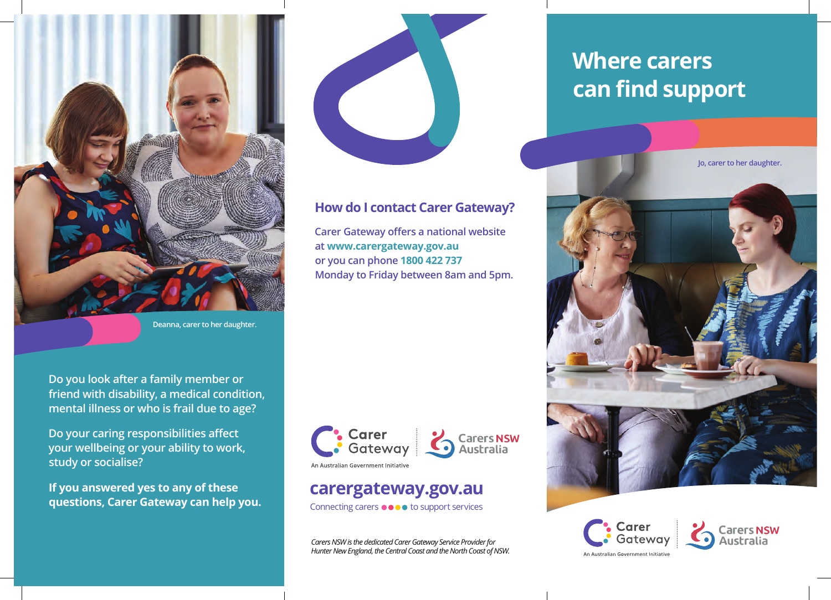

**Do you look after a family member or friend with disability, a medical condition, mental illness or who is frail due to age?** 

**Do your caring responsibilities affect your wellbeing or your ability to work,** 

**If you answered yes to any of these questions, Carer Gateway can help you.** 

**study or socialise?** 

**Deanna, carer to her daughter.**

### **How do I contact Carer Gateway?**

**Carer Gateway offers a national website at www.carergateway.gov.au or you can phone 1800 422 737 Monday to Friday between 8am and 5pm.**



# **carergateway.gov.au**

Connecting carers  $\bullet \bullet \bullet \bullet$  to support services

*Carers NSW is the dedicated Carer Gateway Service Provider for Hunter New England, the Central Coast and the North Coast of NSW.*

# **Where carers can find support**







An Australian Government Initiativ